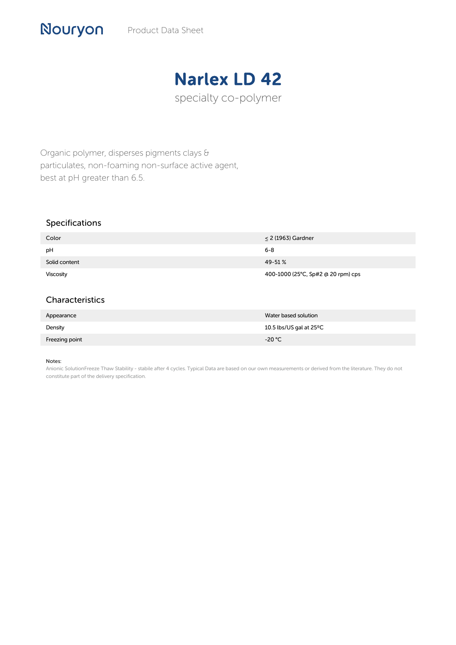# Narlex LD 42

specialty co-polymer

Organic polymer, disperses pigments clays & particulates, non-foaming non-surface active agent, best at pH greater than 6.5.

## Specifications

Nouryon

| Color            | $\leq$ 2 (1963) Gardner            |
|------------------|------------------------------------|
| pH               | 6-8                                |
| Solid content    | 49-51%                             |
| <b>Viscosity</b> | 400-1000 (25°C, Sp#2 @ 20 rpm) cps |

### Characteristics

| Appearance     | Water based solution              |
|----------------|-----------------------------------|
| Density        | 10.5 lbs/US gal at $25^{\circ}$ C |
| Freezing point | $-20 °C$                          |

#### Notes:

Anionic SolutionFreeze Thaw Stability - stabile after 4 cycles. Typical Data are based on our own measurements or derived from the literature. They do not constitute part of the delivery specification.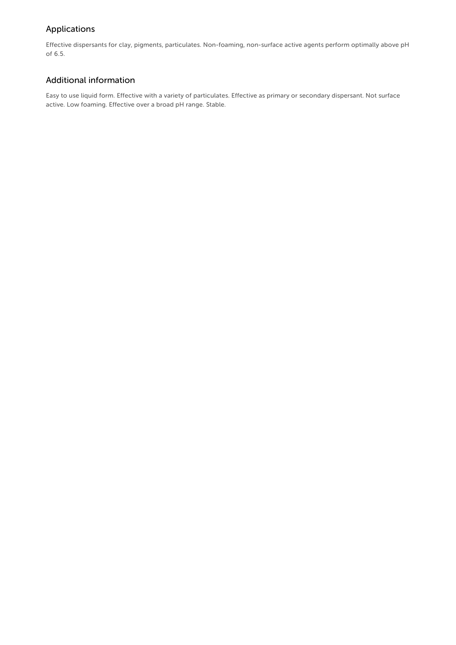# Applications

Effective dispersants for clay, pigments, particulates. Non-foaming, non-surface active agents perform optimally above pH of 6.5.

# Additional information

Easy to use liquid form. Effective with a variety of particulates. Effective as primary or secondary dispersant. Not surface active. Low foaming. Effective over a broad pH range. Stable.